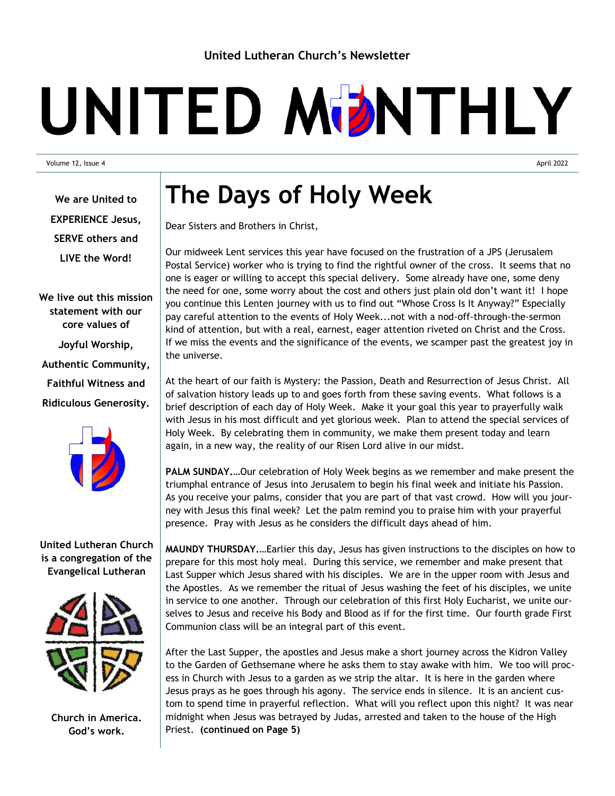## UNITED MDNTHLY

Volume 12, Issue 4 April 2022

**We are United to EXPERIENCE Jesus, SERVE others and LIVE the Word!**

**We live out this mission statement with our core values of Joyful Worship, Authentic Community, Faithful Witness and Ridiculous Generosity.**



## **United Lutheran Church is a congregation of the Evangelical Lutheran**



**Church in America. God's work.**

## **The Days of Holy Week**

Dear Sisters and Brothers in Christ,

Our midweek Lent services this year have focused on the frustration of a JPS (Jerusalem Postal Service) worker who is trying to find the rightful owner of the cross. It seems that no one is eager or willing to accept this special delivery. Some already have one, some deny the need for one, some worry about the cost and others just plain old don't want it! I hope you continue this Lenten journey with us to find out "Whose Cross Is It Anyway?" Especially pay careful attention to the events of Holy Week...not with a nod-off-through-the-sermon kind of attention, but with a real, earnest, eager attention riveted on Christ and the Cross. If we miss the events and the significance of the events, we scamper past the greatest joy in the universe.

At the heart of our faith is Mystery: the Passion, Death and Resurrection of Jesus Christ. All of salvation history leads up to and goes forth from these saving events. What follows is a brief description of each day of Holy Week. Make it your goal this year to prayerfully walk with Jesus in his most difficult and yet glorious week. Plan to attend the special services of Holy Week. By celebrating them in community, we make them present today and learn again, in a new way, the reality of our Risen Lord alive in our midst.

**PALM SUNDAY.…**Our celebration of Holy Week begins as we remember and make present the triumphal entrance of Jesus into Jerusalem to begin his final week and initiate his Passion. As you receive your palms, consider that you are part of that vast crowd. How will you journey with Jesus this final week? Let the palm remind you to praise him with your prayerful presence. Pray with Jesus as he considers the difficult days ahead of him.

**MAUNDY THURSDAY.…**Earlier this day, Jesus has given instructions to the disciples on how to prepare for this most holy meal. During this service, we remember and make present that Last Supper which Jesus shared with his disciples. We are in the upper room with Jesus and the Apostles. As we remember the ritual of Jesus washing the feet of his disciples, we unite in service to one another. Through our celebration of this first Holy Eucharist, we unite ourselves to Jesus and receive his Body and Blood as if for the first time. Our fourth grade First Communion class will be an integral part of this event.

After the Last Supper, the apostles and Jesus make a short journey across the Kidron Valley to the Garden of Gethsemane where he asks them to stay awake with him. We too will process in Church with Jesus to a garden as we strip the altar. It is here in the garden where Jesus prays as he goes through his agony. The service ends in silence. It is an ancient custom to spend time in prayerful reflection. What will you reflect upon this night? It was near midnight when Jesus was betrayed by Judas, arrested and taken to the house of the High Priest. **(continued on Page 5)**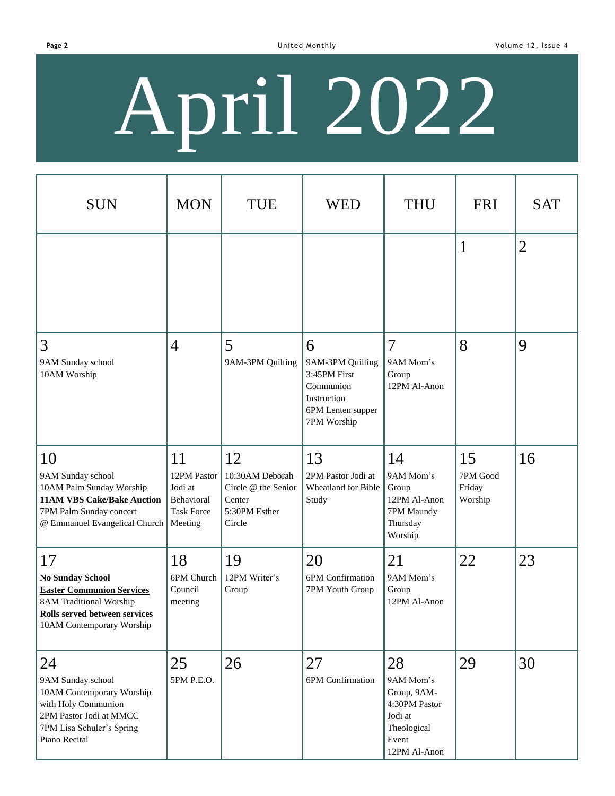# April 2022

| <b>SUN</b>                                                                                                                                                                   | <b>MON</b>                                                                 | <b>TUE</b>                                                                        | <b>WED</b>                                                                                            | <b>THU</b>                                                                                         | <b>FRI</b>                          | <b>SAT</b>     |
|------------------------------------------------------------------------------------------------------------------------------------------------------------------------------|----------------------------------------------------------------------------|-----------------------------------------------------------------------------------|-------------------------------------------------------------------------------------------------------|----------------------------------------------------------------------------------------------------|-------------------------------------|----------------|
|                                                                                                                                                                              |                                                                            |                                                                                   |                                                                                                       |                                                                                                    | $\mathbf{1}$                        | $\overline{2}$ |
| $\overline{3}$<br>9AM Sunday school<br>10AM Worship                                                                                                                          | $\overline{4}$                                                             | 5<br>9AM-3PM Quilting                                                             | 6<br>9AM-3PM Quilting<br>3:45PM First<br>Communion<br>Instruction<br>6PM Lenten supper<br>7PM Worship | $\overline{7}$<br>9AM Mom's<br>Group<br>12PM Al-Anon                                               | 8                                   | 9              |
| 10<br>9AM Sunday school<br>10AM Palm Sunday Worship<br><b>11AM VBS Cake/Bake Auction</b><br>7PM Palm Sunday concert<br>@ Emmanuel Evangelical Church                         | 11<br>12PM Pastor<br>Jodi at<br>Behavioral<br><b>Task Force</b><br>Meeting | 12<br>10:30AM Deborah<br>Circle @ the Senior<br>Center<br>5:30PM Esther<br>Circle | 13<br>2PM Pastor Jodi at<br>Wheatland for Bible<br>Study                                              | 14<br>9AM Mom's<br>Group<br>12PM Al-Anon<br>7PM Maundy<br>Thursday<br>Worship                      | 15<br>7PM Good<br>Friday<br>Worship | 16             |
| <sup>17</sup><br><b>No Sunday School</b><br><b>Easter Communion Services</b><br><b>8AM Traditional Worship</b><br>Rolls served between services<br>10AM Contemporary Worship | 18<br>6PM Church<br>Council<br>meeting                                     | 19<br>12PM Writer's<br>Group                                                      | 20<br>6PM Confirmation<br>7PM Youth Group                                                             | 21<br>9AM Mom's<br>Group<br>12PM Al-Anon                                                           | 22                                  | 23             |
| 24<br>9AM Sunday school<br>10AM Contemporary Worship<br>with Holy Communion<br>2PM Pastor Jodi at MMCC<br>7PM Lisa Schuler's Spring<br>Piano Recital                         | 25<br>5PM P.E.O.                                                           | 26                                                                                | 27<br>6PM Confirmation                                                                                | 28<br>9AM Mom's<br>Group, 9AM-<br>4:30PM Pastor<br>Jodi at<br>Theological<br>Event<br>12PM Al-Anon | 29                                  | 30             |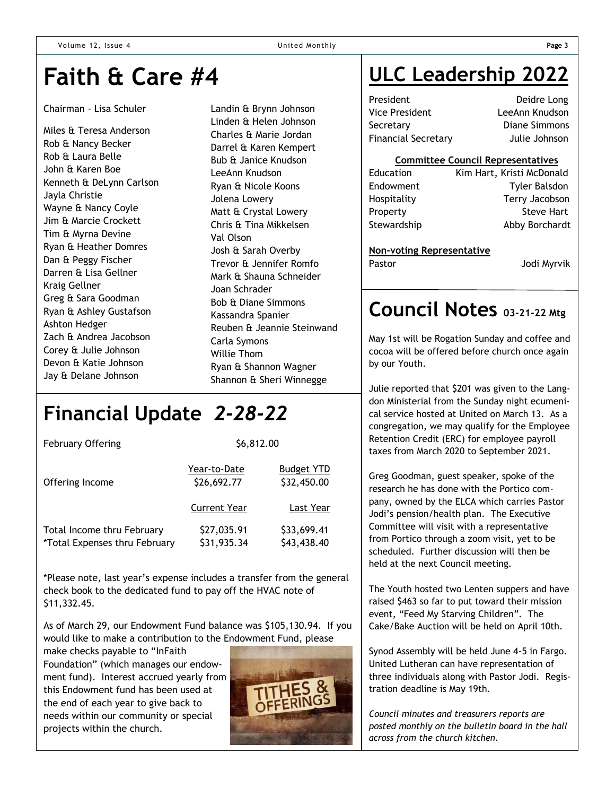## **Faith & Care #4**

#### Chairman - Lisa Schuler

Miles & Teresa Anderson Rob & Nancy Becker Rob & Laura Belle John & Karen Boe Kenneth & DeLynn Carlson Jayla Christie Wayne & Nancy Coyle Jim & Marcie Crockett Tim & Myrna Devine Ryan & Heather Domres Dan & Peggy Fischer Darren & Lisa Gellner Kraig Gellner Greg & Sara Goodman Ryan & Ashley Gustafson Ashton Hedger Zach & Andrea Jacobson Corey & Julie Johnson Devon & Katie Johnson Jay & Delane Johnson

Landin & Brynn Johnson Linden & Helen Johnson Charles & Marie Jordan Darrel & Karen Kempert Bub & Janice Knudson LeeAnn Knudson Ryan & Nicole Koons Jolena Lowery Matt & Crystal Lowery Chris & Tina Mikkelsen Val Olson Josh & Sarah Overby Trevor & Jennifer Romfo Mark & Shauna Schneider Joan Schrader Bob & Diane Simmons Kassandra Spanier Reuben & Jeannie Steinwand Carla Symons Willie Thom Ryan & Shannon Wagner Shannon & Sheri Winnegge

## **Financial Update** *2-28-22*

| <b>February Offering</b>                                    | \$6,812.00                  |                                  |  |  |
|-------------------------------------------------------------|-----------------------------|----------------------------------|--|--|
| Offering Income                                             | Year-to-Date<br>\$26,692.77 | <b>Budget YTD</b><br>\$32,450.00 |  |  |
|                                                             | <b>Current Year</b>         | Last Year                        |  |  |
| Total Income thru February<br>*Total Expenses thru February | \$27,035.91<br>\$31,935.34  | \$33,699.41<br>\$43,438.40       |  |  |

\*Please note, last year's expense includes a transfer from the general check book to the dedicated fund to pay off the HVAC note of \$11,332.45.

As of March 29, our Endowment Fund balance was \$105,130.94. If you would like to make a contribution to the Endowment Fund, please

make checks payable to "InFaith Foundation" (which manages our endowment fund). Interest accrued yearly from this Endowment fund has been used at the end of each year to give back to needs within our community or special projects within the church.



## **ULC Leadership 2022**

President Deidre Long Vice President LeeAnn Knudson Secretary Diane Simmons Financial Secretary Julie Johnson

#### **Committee Council Representatives**

| Education   | Kim Hart, Kristi McDonald |
|-------------|---------------------------|
| Endowment   | <b>Tyler Balsdon</b>      |
| Hospitality | Terry Jacobson            |
| Property    | <b>Steve Hart</b>         |
| Stewardship | Abby Borchardt            |
|             |                           |

#### **Non-voting Representative**

Pastor **Disk Line Controller Service Controller Service Controller Service Controller Service Controller Service Controller Service Controller Service Controller Service Controller Service Controller Service Controller Ser** 

## **Council Notes 03-21-22 Mtg**

May 1st will be Rogation Sunday and coffee and cocoa will be offered before church once again by our Youth.

Julie reported that \$201 was given to the Langdon Ministerial from the Sunday night ecumenical service hosted at United on March 13. As a congregation, we may qualify for the Employee Retention Credit (ERC) for employee payroll taxes from March 2020 to September 2021.

Greg Goodman, guest speaker, spoke of the research he has done with the Portico company, owned by the ELCA which carries Pastor Jodi's pension/health plan. The Executive Committee will visit with a representative from Portico through a zoom visit, yet to be scheduled. Further discussion will then be held at the next Council meeting.

The Youth hosted two Lenten suppers and have raised \$463 so far to put toward their mission event, "Feed My Starving Children". The Cake/Bake Auction will be held on April 10th.

Synod Assembly will be held June 4-5 in Fargo. United Lutheran can have representation of three individuals along with Pastor Jodi. Registration deadline is May 19th.

*Council minutes and treasurers reports are posted monthly on the bulletin board in the hall across from the church kitchen.*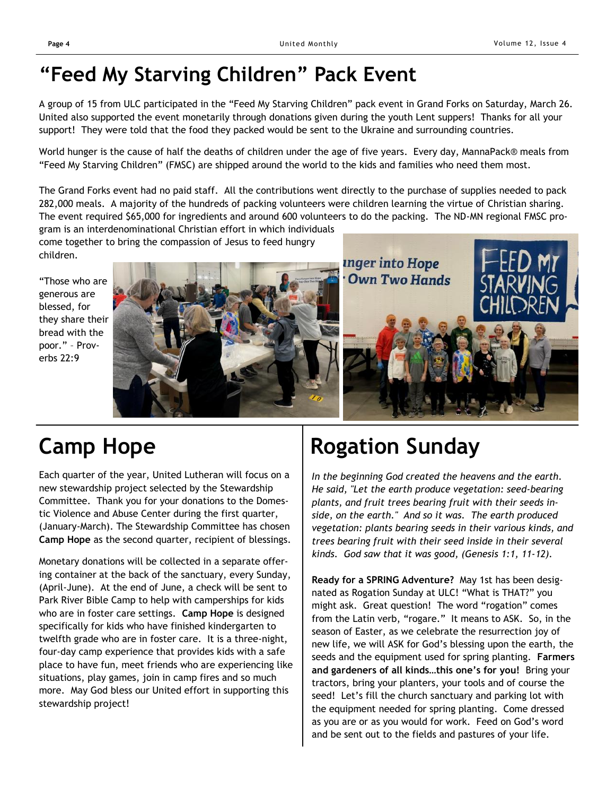## **"Feed My Starving Children" Pack Event**

A group of 15 from ULC participated in the "Feed My Starving Children" pack event in Grand Forks on Saturday, March 26. United also supported the event monetarily through donations given during the youth Lent suppers! Thanks for all your support! They were told that the food they packed would be sent to the Ukraine and surrounding countries.

World hunger is the cause of half the deaths of children under the age of five years. Every day, MannaPack® meals from "Feed My Starving Children" (FMSC) are shipped around the world to the kids and families who need them most.

The Grand Forks event had no paid staff. All the contributions went directly to the purchase of supplies needed to pack 282,000 meals. A majority of the hundreds of packing volunteers were children learning the virtue of Christian sharing. The event required \$65,000 for ingredients and around 600 volunteers to do the packing. The ND-MN regional FMSC pro-

gram is an interdenominational Christian effort in which individuals come together to bring the compassion of Jesus to feed hungry children.

"Those who are generous are blessed, for they share their bread with the poor." – Proverbs 22:9



## **Camp Hope**

Each quarter of the year, United Lutheran will focus on a new stewardship project selected by the Stewardship Committee. Thank you for your donations to the Domestic Violence and Abuse Center during the first quarter, (January-March). The Stewardship Committee has chosen **Camp Hope** as the second quarter, recipient of blessings.

Monetary donations will be collected in a separate offering container at the back of the sanctuary, every Sunday, (April-June). At the end of June, a check will be sent to Park River Bible Camp to help with camperships for kids who are in foster care settings. **Camp Hope** is designed specifically for kids who have finished kindergarten to twelfth grade who are in foster care. It is a three-night, four-day camp experience that provides kids with a safe place to have fun, meet friends who are experiencing like situations, play games, join in camp fires and so much more. May God bless our United effort in supporting this stewardship project!

## **Rogation Sunday**

*In the beginning God created the heavens and the earth. He said, "Let the earth produce vegetation: seed-bearing plants, and fruit trees bearing fruit with their seeds inside, on the earth." And so it was. The earth produced vegetation: plants bearing seeds in their various kinds, and trees bearing fruit with their seed inside in their several kinds. God saw that it was good, (Genesis 1:1, 11-12).*

**Ready for a SPRING Adventure?** May 1st has been designated as Rogation Sunday at ULC! "What is THAT?" you might ask. Great question! The word "rogation" comes from the Latin verb, "rogare." It means to ASK. So, in the season of Easter, as we celebrate the resurrection joy of new life, we will ASK for God's blessing upon the earth, the seeds and the equipment used for spring planting. **Farmers and gardeners of all kinds…this one's for you!** Bring your tractors, bring your planters, your tools and of course the seed! Let's fill the church sanctuary and parking lot with the equipment needed for spring planting. Come dressed as you are or as you would for work. Feed on God's word and be sent out to the fields and pastures of your life.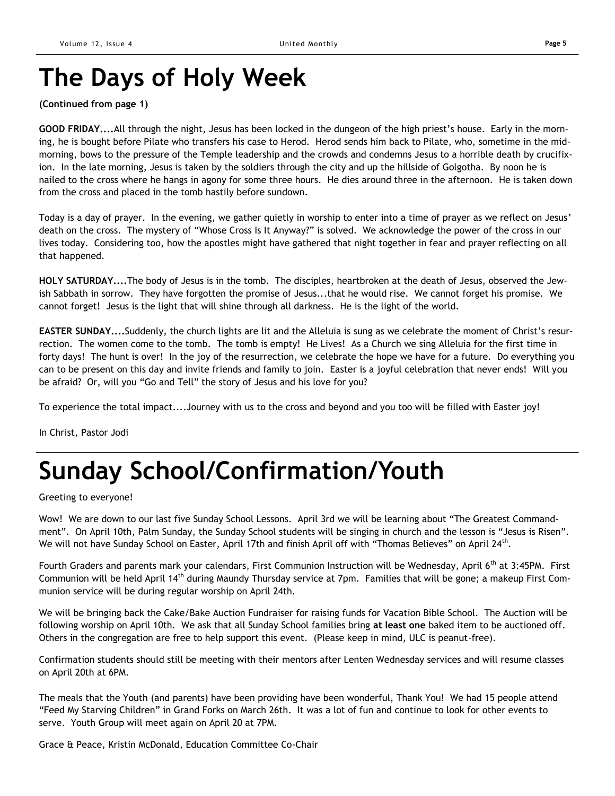## **The Days of Holy Week**

## **(Continued from page 1)**

**GOOD FRIDAY....**All through the night, Jesus has been locked in the dungeon of the high priest's house. Early in the morning, he is bought before Pilate who transfers his case to Herod. Herod sends him back to Pilate, who, sometime in the midmorning, bows to the pressure of the Temple leadership and the crowds and condemns Jesus to a horrible death by crucifixion. In the late morning, Jesus is taken by the soldiers through the city and up the hillside of Golgotha. By noon he is nailed to the cross where he hangs in agony for some three hours. He dies around three in the afternoon. He is taken down from the cross and placed in the tomb hastily before sundown.

Today is a day of prayer. In the evening, we gather quietly in worship to enter into a time of prayer as we reflect on Jesus' death on the cross. The mystery of "Whose Cross Is It Anyway?" is solved. We acknowledge the power of the cross in our lives today. Considering too, how the apostles might have gathered that night together in fear and prayer reflecting on all that happened.

**HOLY SATURDAY....**The body of Jesus is in the tomb. The disciples, heartbroken at the death of Jesus, observed the Jewish Sabbath in sorrow. They have forgotten the promise of Jesus...that he would rise. We cannot forget his promise. We cannot forget! Jesus is the light that will shine through all darkness. He is the light of the world.

**EASTER SUNDAY....**Suddenly, the church lights are lit and the Alleluia is sung as we celebrate the moment of Christ's resurrection. The women come to the tomb. The tomb is empty! He Lives! As a Church we sing Alleluia for the first time in forty days! The hunt is over! In the joy of the resurrection, we celebrate the hope we have for a future. Do everything you can to be present on this day and invite friends and family to join. Easter is a joyful celebration that never ends! Will you be afraid? Or, will you "Go and Tell" the story of Jesus and his love for you?

To experience the total impact....Journey with us to the cross and beyond and you too will be filled with Easter joy!

In Christ, Pastor Jodi

## **Sunday School/Confirmation/Youth**

Greeting to everyone!

Wow! We are down to our last five Sunday School Lessons. April 3rd we will be learning about "The Greatest Commandment". On April 10th, Palm Sunday, the Sunday School students will be singing in church and the lesson is "Jesus is Risen". We will not have Sunday School on Easter, April 17th and finish April off with "Thomas Believes" on April 24<sup>th</sup>.

Fourth Graders and parents mark your calendars, First Communion Instruction will be Wednesday, April 6<sup>th</sup> at 3:45PM. First Communion will be held April 14<sup>th</sup> during Maundy Thursday service at 7pm. Families that will be gone; a makeup First Communion service will be during regular worship on April 24th.

We will be bringing back the Cake/Bake Auction Fundraiser for raising funds for Vacation Bible School. The Auction will be following worship on April 10th. We ask that all Sunday School families bring **at least one** baked item to be auctioned off. Others in the congregation are free to help support this event. (Please keep in mind, ULC is peanut-free).

Confirmation students should still be meeting with their mentors after Lenten Wednesday services and will resume classes on April 20th at 6PM.

The meals that the Youth (and parents) have been providing have been wonderful, Thank You! We had 15 people attend "Feed My Starving Children" in Grand Forks on March 26th. It was a lot of fun and continue to look for other events to serve. Youth Group will meet again on April 20 at 7PM.

Grace & Peace, Kristin McDonald, Education Committee Co-Chair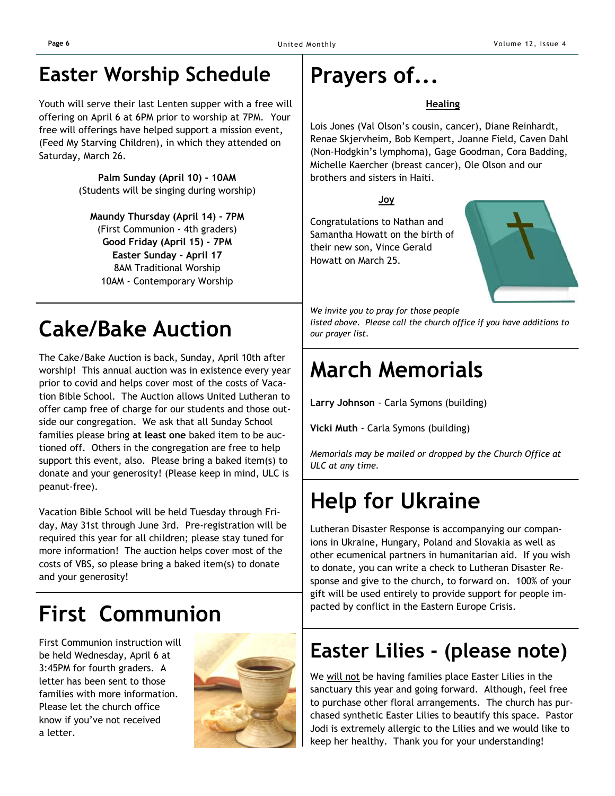## **Easter Worship Schedule**

Youth will serve their last Lenten supper with a free will offering on April 6 at 6PM prior to worship at 7PM. Your free will offerings have helped support a mission event, (Feed My Starving Children), in which they attended on Saturday, March 26.

> **Palm Sunday (April 10) - 10AM** (Students will be singing during worship)

**Maundy Thursday (April 14) - 7PM** (First Communion - 4th graders) **Good Friday (April 15) - 7PM Easter Sunday - April 17** 8AM Traditional Worship 10AM - Contemporary Worship

## **Cake/Bake Auction**

The Cake/Bake Auction is back, Sunday, April 10th after worship! This annual auction was in existence every year prior to covid and helps cover most of the costs of Vacation Bible School. The Auction allows United Lutheran to offer camp free of charge for our students and those outside our congregation. We ask that all Sunday School families please bring **at least one** baked item to be auctioned off. Others in the congregation are free to help support this event, also. Please bring a baked item(s) to donate and your generosity! (Please keep in mind, ULC is peanut-free).

Vacation Bible School will be held Tuesday through Friday, May 31st through June 3rd. Pre-registration will be required this year for all children; please stay tuned for more information! The auction helps cover most of the costs of VBS, so please bring a baked item(s) to donate and your generosity!

## **First Communion**

be held Wednesday, April 6 at 3:45PM for fourth graders. A letter has been sent to those families with more information. Please let the church office know if you've not received a letter.



## **Prayers of...**

## **Healing**

Lois Jones (Val Olson's cousin, cancer), Diane Reinhardt, Renae Skjervheim, Bob Kempert, Joanne Field, Caven Dahl (Non-Hodgkin's lymphoma), Gage Goodman, Cora Badding, Michelle Kaercher (breast cancer), Ole Olson and our brothers and sisters in Haiti.

**Joy**

Congratulations to Nathan and Samantha Howatt on the birth of their new son, Vince Gerald Howatt on March 25.



*We invite you to pray for those people* 

*listed above. Please call the church office if you have additions to our prayer list.*

## **March Memorials**

**Larry Johnson** - Carla Symons (building)

**Vicki Muth** - Carla Symons (building)

*Memorials may be mailed or dropped by the Church Office at ULC at any time.*

## **Help for Ukraine**

Lutheran Disaster Response is accompanying our companions in Ukraine, Hungary, Poland and Slovakia as well as other ecumenical partners in humanitarian aid. If you wish to donate, you can write a check to Lutheran Disaster Response and give to the church, to forward on. 100% of your gift will be used entirely to provide support for people impacted by conflict in the Eastern Europe Crisis.

## First Communion instruction will<br>be held Wednesday, April 6 at **Communion instruction will Easter Lilies - (please note)**

We will not be having families place Easter Lilies in the sanctuary this year and going forward. Although, feel free to purchase other floral arrangements. The church has purchased synthetic Easter Lilies to beautify this space. Pastor Jodi is extremely allergic to the Lilies and we would like to keep her healthy. Thank you for your understanding!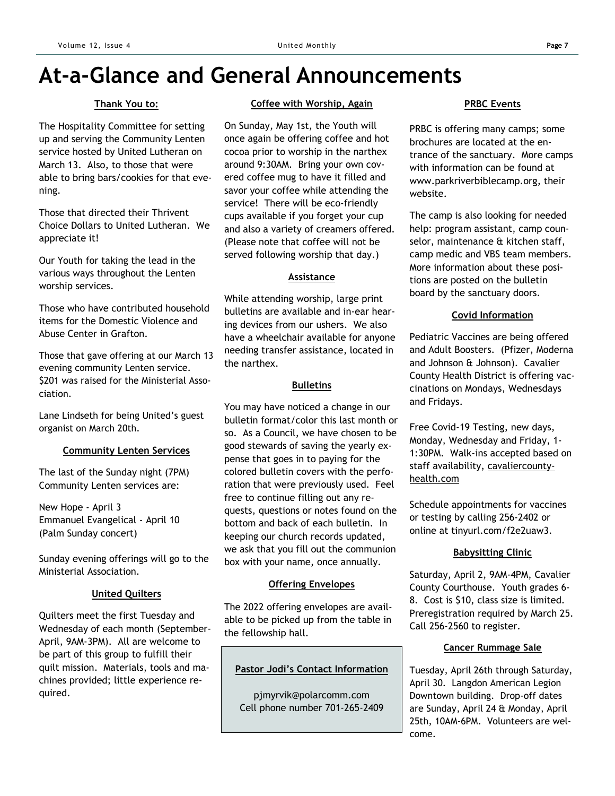## **At-a-Glance and General Announcements**

## **Thank You to:**

The Hospitality Committee for setting up and serving the Community Lenten service hosted by United Lutheran on March 13. Also, to those that were able to bring bars/cookies for that evening.

Those that directed their Thrivent Choice Dollars to United Lutheran. We appreciate it!

Our Youth for taking the lead in the various ways throughout the Lenten worship services.

Those who have contributed household items for the Domestic Violence and Abuse Center in Grafton.

Those that gave offering at our March 13 evening community Lenten service. \$201 was raised for the Ministerial Association.

Lane Lindseth for being United's guest organist on March 20th.

#### **Community Lenten Services**

The last of the Sunday night (7PM) Community Lenten services are:

New Hope - April 3 Emmanuel Evangelical - April 10 (Palm Sunday concert)

Sunday evening offerings will go to the Ministerial Association.

#### **United Quilters**

Quilters meet the first Tuesday and Wednesday of each month (September-April, 9AM-3PM). All are welcome to be part of this group to fulfill their quilt mission. Materials, tools and machines provided; little experience required.

#### **Coffee with Worship, Again**

On Sunday, May 1st, the Youth will once again be offering coffee and hot cocoa prior to worship in the narthex around 9:30AM. Bring your own covered coffee mug to have it filled and savor your coffee while attending the service! There will be eco-friendly cups available if you forget your cup and also a variety of creamers offered. (Please note that coffee will not be served following worship that day.)

#### **Assistance**

While attending worship, large print bulletins are available and in-ear hearing devices from our ushers. We also have a wheelchair available for anyone needing transfer assistance, located in the narthex.

#### **Bulletins**

You may have noticed a change in our bulletin format/color this last month or so. As a Council, we have chosen to be good stewards of saving the yearly expense that goes in to paying for the colored bulletin covers with the perforation that were previously used. Feel free to continue filling out any requests, questions or notes found on the bottom and back of each bulletin. In keeping our church records updated, we ask that you fill out the communion box with your name, once annually.

#### **Offering Envelopes**

The 2022 offering envelopes are available to be picked up from the table in the fellowship hall.

#### **Pastor Jodi's Contact Information**

pjmyrvik@polarcomm.com Cell phone number 701-265-2409

#### **PRBC Events**

PRBC is offering many camps; some brochures are located at the entrance of the sanctuary. More camps with information can be found at www.parkriverbiblecamp.org, their website.

The camp is also looking for needed help: program assistant, camp counselor, maintenance & kitchen staff, camp medic and VBS team members. More information about these positions are posted on the bulletin board by the sanctuary doors.

## **Covid Information**

Pediatric Vaccines are being offered and Adult Boosters. (Pfizer, Moderna and Johnson & Johnson). Cavalier County Health District is offering vaccinations on Mondays, Wednesdays and Fridays.

Free Covid-19 Testing, new days, Monday, Wednesday and Friday, 1- 1:30PM. Walk-ins accepted based on staff availability, cavaliercountyhealth.com

Schedule appointments for vaccines or testing by calling 256-2402 or online at tinyurl.com/f2e2uaw3.

## **Babysitting Clinic**

Saturday, April 2, 9AM-4PM, Cavalier County Courthouse. Youth grades 6- 8. Cost is \$10, class size is limited. Preregistration required by March 25. Call 256-2560 to register.

#### **Cancer Rummage Sale**

Tuesday, April 26th through Saturday, April 30. Langdon American Legion Downtown building. Drop-off dates are Sunday, April 24 & Monday, April 25th, 10AM-6PM. Volunteers are welcome.